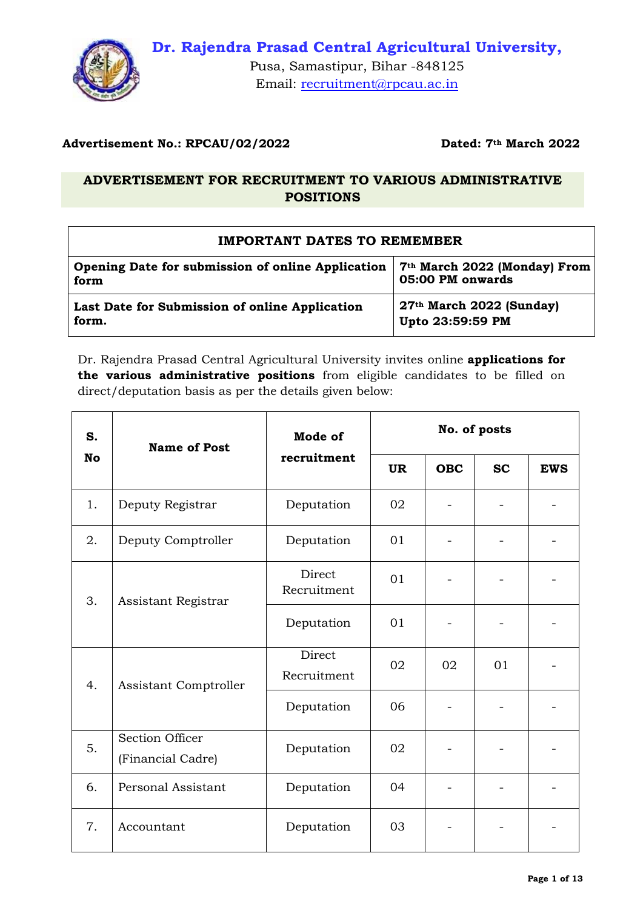

Pusa, Samastipur, Bihar -848125 Email: [recruitment@rpcau.ac.in](mailto:recruitment@rpcau.ac.in)

### **Advertisement No.: RPCAU/02/2022 Dated: 7th March 2022**

### **ADVERTISEMENT FOR RECRUITMENT TO VARIOUS ADMINISTRATIVE POSITIONS**

### **IMPORTANT DATES TO REMEMBER**

| Opening Date for submission of online Application | 7 <sup>th</sup> March 2022 (Monday) From |
|---------------------------------------------------|------------------------------------------|
| form                                              | 05:00 PM onwards                         |
| Last Date for Submission of online Application    | $27th$ March 2022 (Sunday)               |
| form.                                             | Upto 23:59:59 PM                         |

Dr. Rajendra Prasad Central Agricultural University invites online **applications for the various administrative positions** from eligible candidates to be filled on direct/deputation basis as per the details given below:

| S.                        | <b>Name of Post</b>                         | Mode of               |           |            | No. of posts |            |
|---------------------------|---------------------------------------------|-----------------------|-----------|------------|--------------|------------|
| <b>No</b>                 |                                             | recruitment           | <b>UR</b> | <b>OBC</b> | <b>SC</b>    | <b>EWS</b> |
| 1.                        | Deputy Registrar                            | Deputation            | 02        |            |              |            |
| 2.                        | Deputy Comptroller                          | Deputation            | 01        |            |              |            |
| 3.<br>Assistant Registrar |                                             | Direct<br>Recruitment | 01        |            |              |            |
|                           | Deputation                                  | 01                    |           |            |              |            |
| 4.                        | Assistant Comptroller                       | Direct<br>Recruitment | 02        | 02         | 01           |            |
|                           |                                             | Deputation            | 06        |            |              |            |
| 5.                        | <b>Section Officer</b><br>(Financial Cadre) | Deputation            | 02        |            |              |            |
| 6.                        | Personal Assistant                          | Deputation            | 04        |            |              |            |
| 7.                        | Accountant                                  | Deputation            | 03        |            |              |            |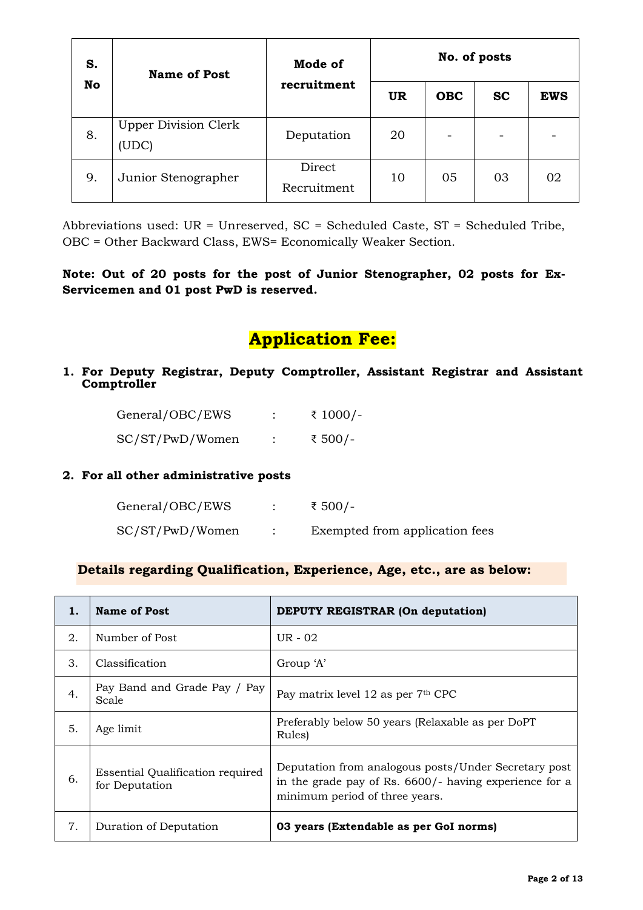| S. | <b>Name of Post</b>                  | Mode of               | No. of posts |            |           |            |
|----|--------------------------------------|-----------------------|--------------|------------|-----------|------------|
| No |                                      | recruitment           | <b>UR</b>    | <b>OBC</b> | <b>SC</b> | <b>EWS</b> |
| 8. | <b>Upper Division Clerk</b><br>(UDC) | Deputation            | 20           |            |           |            |
| 9. | Junior Stenographer                  | Direct<br>Recruitment | 10           | 05         | 03        | 02         |

Abbreviations used: UR = Unreserved, SC = Scheduled Caste, ST = Scheduled Tribe, OBC = Other Backward Class, EWS= Economically Weaker Section.

### **Note: Out of 20 posts for the post of Junior Stenographer, 02 posts for Ex-Servicemen and 01 post PwD is reserved.**

# **Application Fee:**

**1. For Deputy Registrar, Deputy Comptroller, Assistant Registrar and Assistant Comptroller** 

| General/OBC/EWS | ₹ 1000/- |
|-----------------|----------|
| SC/ST/PwD/Women | ₹ 500/-  |

### **2. For all other administrative posts**

| General/OBC/EWS | ₹ 500/-                        |
|-----------------|--------------------------------|
| SC/ST/PwD/Women | Exempted from application fees |

### **Details regarding Qualification, Experience, Age, etc., are as below:**

| 1. | <b>Name of Post</b>                                       | <b>DEPUTY REGISTRAR (On deputation)</b>                                                                                                          |
|----|-----------------------------------------------------------|--------------------------------------------------------------------------------------------------------------------------------------------------|
| 2. | Number of Post                                            | UR - 02                                                                                                                                          |
| 3. | Classification                                            | Group 'A'                                                                                                                                        |
| 4. | Pay Band and Grade Pay / Pay<br>Scale                     | Pay matrix level 12 as per 7th CPC                                                                                                               |
| 5. | Age limit                                                 | Preferably below 50 years (Relaxable as per DoPT)<br>Rules)                                                                                      |
| 6. | <b>Essential Qualification required</b><br>for Deputation | Deputation from analogous posts/Under Secretary post<br>in the grade pay of Rs. 6600/- having experience for a<br>minimum period of three years. |
| 7. | Duration of Deputation                                    | 03 years (Extendable as per GoI norms)                                                                                                           |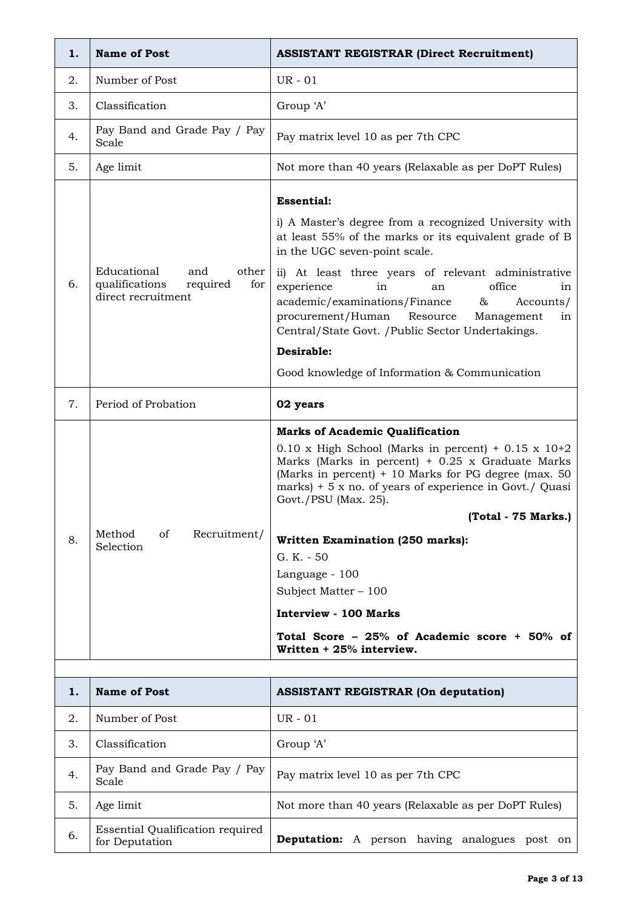| 1. | <b>Name of Post</b>                                                                    | <b>ASSISTANT REGISTRAR (Direct Recruitment)</b>                                                                                                                                                                                                                                                                                                                                                                                                                                                                                  |
|----|----------------------------------------------------------------------------------------|----------------------------------------------------------------------------------------------------------------------------------------------------------------------------------------------------------------------------------------------------------------------------------------------------------------------------------------------------------------------------------------------------------------------------------------------------------------------------------------------------------------------------------|
| 2. | Number of Post                                                                         | UR - 01                                                                                                                                                                                                                                                                                                                                                                                                                                                                                                                          |
| 3. | Classification                                                                         | Group 'A'                                                                                                                                                                                                                                                                                                                                                                                                                                                                                                                        |
| 4. | Pay Band and Grade Pay / Pay<br>Scale                                                  | Pay matrix level 10 as per 7th CPC                                                                                                                                                                                                                                                                                                                                                                                                                                                                                               |
| 5. | Age limit                                                                              | Not more than 40 years (Relaxable as per DoPT Rules)                                                                                                                                                                                                                                                                                                                                                                                                                                                                             |
| 6. | Educational<br>and<br>other<br>qualifications<br>required<br>for<br>direct recruitment | <b>Essential:</b><br>i) A Master's degree from a recognized University with<br>at least 55% of the marks or its equivalent grade of B<br>in the UGC seven-point scale.<br>ii) At least three years of relevant administrative<br>office<br>experience<br>in<br>an<br>in<br>academic/examinations/Finance<br>&<br>Accounts/<br>procurement/Human Resource<br>Management<br>in<br>Central/State Govt. /Public Sector Undertakings.<br>Desirable:<br>Good knowledge of Information & Communication                                  |
| 7. | Period of Probation                                                                    | 02 years                                                                                                                                                                                                                                                                                                                                                                                                                                                                                                                         |
| 8. | Recruitment/<br>Method<br>of<br>Selection                                              | <b>Marks of Academic Qualification</b><br>$0.10$ x High School (Marks in percent) + 0.15 x 10+2<br>Marks (Marks in percent) $+$ 0.25 x Graduate Marks<br>(Marks in percent) + 10 Marks for PG degree (max. 50<br>marks) $+5x$ no. of years of experience in Govt./ Quasi<br>Govt./PSU (Max. 25).<br>(Total - 75 Marks.)<br>Written Examination (250 marks):<br>G. K. - 50<br>Language - 100<br>Subject Matter - 100<br><b>Interview - 100 Marks</b><br>Total Score - 25% of Academic score + 50% of<br>Written $+25%$ interview. |
|    |                                                                                        |                                                                                                                                                                                                                                                                                                                                                                                                                                                                                                                                  |
| 1. | <b>Name of Post</b>                                                                    | <b>ASSISTANT REGISTRAR (On deputation)</b>                                                                                                                                                                                                                                                                                                                                                                                                                                                                                       |
| 2. | Number of Post                                                                         | <b>UR</b> - 01                                                                                                                                                                                                                                                                                                                                                                                                                                                                                                                   |
| 3. | Classification                                                                         | Group 'A'                                                                                                                                                                                                                                                                                                                                                                                                                                                                                                                        |
| 4. | Pay Band and Grade Pay / Pay<br>Scale                                                  | Pay matrix level 10 as per 7th CPC                                                                                                                                                                                                                                                                                                                                                                                                                                                                                               |
| 5. | Age limit                                                                              | Not more than 40 years (Relaxable as per DoPT Rules)                                                                                                                                                                                                                                                                                                                                                                                                                                                                             |
| 6. | <b>Essential Qualification required</b><br>for Deputation                              | Deputation: A person having analogues post on                                                                                                                                                                                                                                                                                                                                                                                                                                                                                    |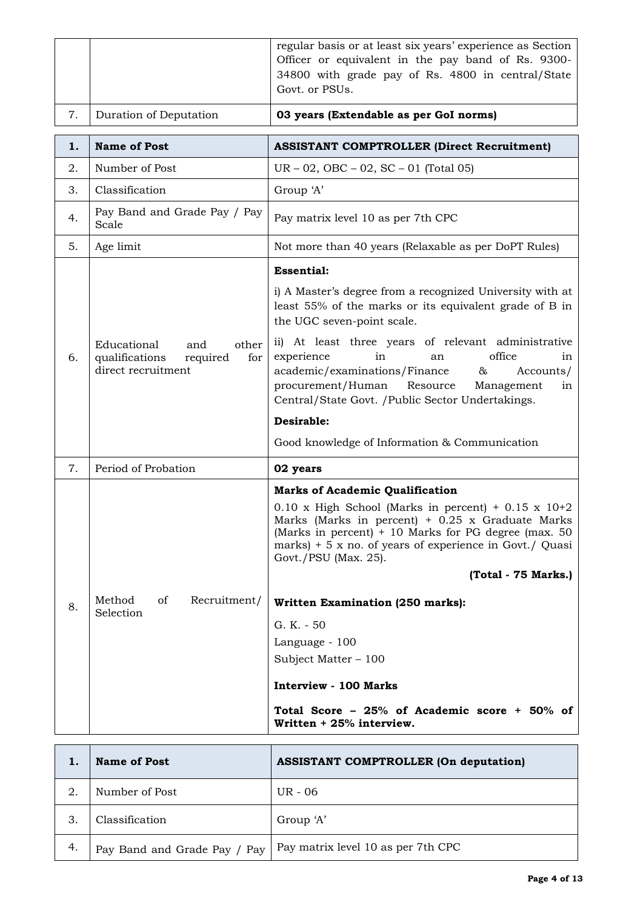|    |                                                                                        | regular basis or at least six years' experience as Section<br>Officer or equivalent in the pay band of Rs. 9300-<br>34800 with grade pay of Rs. 4800 in central/State                                                                                                                                  |
|----|----------------------------------------------------------------------------------------|--------------------------------------------------------------------------------------------------------------------------------------------------------------------------------------------------------------------------------------------------------------------------------------------------------|
|    |                                                                                        | Govt. or PSUs.                                                                                                                                                                                                                                                                                         |
| 7. | Duration of Deputation                                                                 | 03 years (Extendable as per GoI norms)                                                                                                                                                                                                                                                                 |
| 1. | <b>Name of Post</b>                                                                    | <b>ASSISTANT COMPTROLLER (Direct Recruitment)</b>                                                                                                                                                                                                                                                      |
| 2. | Number of Post                                                                         | $UR - 02$ , $OBC - 02$ , $SC - 01$ (Total 05)                                                                                                                                                                                                                                                          |
| 3. | Classification                                                                         | Group 'A'                                                                                                                                                                                                                                                                                              |
| 4. | Pay Band and Grade Pay / Pay<br>Scale                                                  | Pay matrix level 10 as per 7th CPC                                                                                                                                                                                                                                                                     |
| 5. | Age limit                                                                              | Not more than 40 years (Relaxable as per DoPT Rules)                                                                                                                                                                                                                                                   |
|    |                                                                                        | <b>Essential:</b>                                                                                                                                                                                                                                                                                      |
|    |                                                                                        | i) A Master's degree from a recognized University with at<br>least 55% of the marks or its equivalent grade of B in<br>the UGC seven-point scale.                                                                                                                                                      |
| 6. | other<br>Educational<br>and<br>qualifications<br>required<br>for<br>direct recruitment | ii) At least three years of relevant administrative<br>office<br>experience<br>in<br>an<br>in<br>academic/examinations/Finance<br>Accounts/<br>&<br>procurement/Human Resource<br>Management<br>in<br>Central/State Govt. / Public Sector Undertakings.                                                |
|    |                                                                                        | Desirable:                                                                                                                                                                                                                                                                                             |
|    |                                                                                        | Good knowledge of Information & Communication                                                                                                                                                                                                                                                          |
| 7. | Period of Probation                                                                    | 02 years                                                                                                                                                                                                                                                                                               |
|    |                                                                                        | <b>Marks of Academic Qualification</b><br>$0.10$ x High School (Marks in percent) + $0.15$ x $10+2$<br>Marks (Marks in percent) $+$ 0.25 x Graduate Marks<br>(Marks in percent) $+10$ Marks for PG degree (max. 50)<br>marks) $+5x$ no. of years of experience in Govt./ Quasi<br>Govt./PSU (Max. 25). |
|    |                                                                                        | (Total - 75 Marks.)                                                                                                                                                                                                                                                                                    |
| 8. | Recruitment/<br>Method<br>of<br>Selection                                              | Written Examination (250 marks):                                                                                                                                                                                                                                                                       |
|    |                                                                                        | G. K. - 50                                                                                                                                                                                                                                                                                             |
|    |                                                                                        | Language - 100                                                                                                                                                                                                                                                                                         |
|    |                                                                                        | Subject Matter $-100$                                                                                                                                                                                                                                                                                  |
|    |                                                                                        | <b>Interview - 100 Marks</b>                                                                                                                                                                                                                                                                           |
|    |                                                                                        | Total Score - $25\%$ of Academic score + $50\%$ of<br>Written + 25% interview.                                                                                                                                                                                                                         |
|    |                                                                                        |                                                                                                                                                                                                                                                                                                        |

|    | <b>Name of Post</b>          | <b>ASSISTANT COMPTROLLER (On deputation)</b> |
|----|------------------------------|----------------------------------------------|
| 2. | Number of Post               | UR - 06                                      |
| 3. | Classification               | Group 'A'                                    |
| 4. | Pay Band and Grade Pay / Pay | Pay matrix level 10 as per 7th CPC           |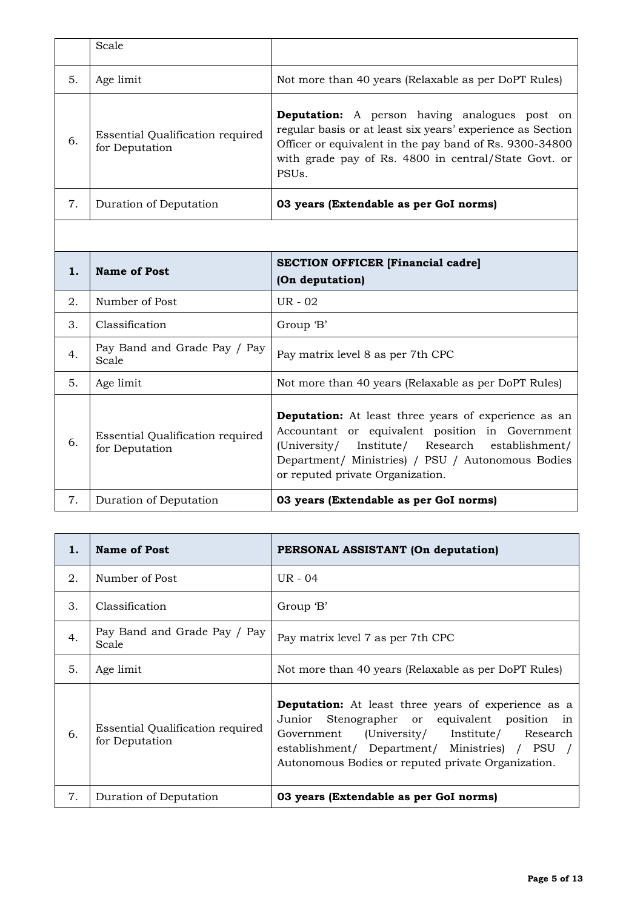|    | Scale                                                     |                                                                                                                                                                                                                                                           |
|----|-----------------------------------------------------------|-----------------------------------------------------------------------------------------------------------------------------------------------------------------------------------------------------------------------------------------------------------|
| 5. | Age limit                                                 | Not more than 40 years (Relaxable as per DoPT Rules)                                                                                                                                                                                                      |
| 6. | <b>Essential Qualification required</b><br>for Deputation | <b>Deputation:</b> A person having analogues post on<br>regular basis or at least six years' experience as Section<br>Officer or equivalent in the pay band of Rs. 9300-34800<br>with grade pay of Rs. 4800 in central/State Govt. or<br>PSU <sub>s</sub> |
| 7. | Duration of Deputation                                    | 03 years (Extendable as per GoI norms)                                                                                                                                                                                                                    |

| 1. | Name of Post                                       | <b>SECTION OFFICER [Financial cadre]</b><br>(On deputation)                                                                                                                                                                                                |
|----|----------------------------------------------------|------------------------------------------------------------------------------------------------------------------------------------------------------------------------------------------------------------------------------------------------------------|
| 2. | Number of Post                                     | $UR - 02$                                                                                                                                                                                                                                                  |
| 3. | Classification                                     | Group 'B'                                                                                                                                                                                                                                                  |
| 4. | Pay Band and Grade Pay / Pay<br>Scale              | Pay matrix level 8 as per 7th CPC                                                                                                                                                                                                                          |
| 5. | Age limit                                          | Not more than 40 years (Relaxable as per DoPT Rules)                                                                                                                                                                                                       |
| 6. | Essential Qualification required<br>for Deputation | <b>Deputation:</b> At least three years of experience as an<br>Accountant or equivalent position in Government<br>(University/ Institute/ Research establishment/<br>Department/ Ministries) / PSU / Autonomous Bodies<br>or reputed private Organization. |
| 7. | Duration of Deputation                             | 03 years (Extendable as per GoI norms)                                                                                                                                                                                                                     |

| 1. | Name of Post                                       | PERSONAL ASSISTANT (On deputation)                                                                                                                                                                                                                                 |
|----|----------------------------------------------------|--------------------------------------------------------------------------------------------------------------------------------------------------------------------------------------------------------------------------------------------------------------------|
| 2. | Number of Post                                     | UR - 04                                                                                                                                                                                                                                                            |
| 3. | Classification                                     | Group 'B'                                                                                                                                                                                                                                                          |
| 4. | Pay Band and Grade Pay / Pay<br>Scale              | Pay matrix level 7 as per 7th CPC                                                                                                                                                                                                                                  |
| 5. | Age limit                                          | Not more than 40 years (Relaxable as per DoPT Rules)                                                                                                                                                                                                               |
| 6. | Essential Qualification required<br>for Deputation | <b>Deputation:</b> At least three years of experience as a<br>Junior Stenographer or equivalent position in<br>Government (University/ Institute/ Research<br>establishment/ Department/ Ministries) / PSU /<br>Autonomous Bodies or reputed private Organization. |
| 7. | Duration of Deputation                             | 03 years (Extendable as per GoI norms)                                                                                                                                                                                                                             |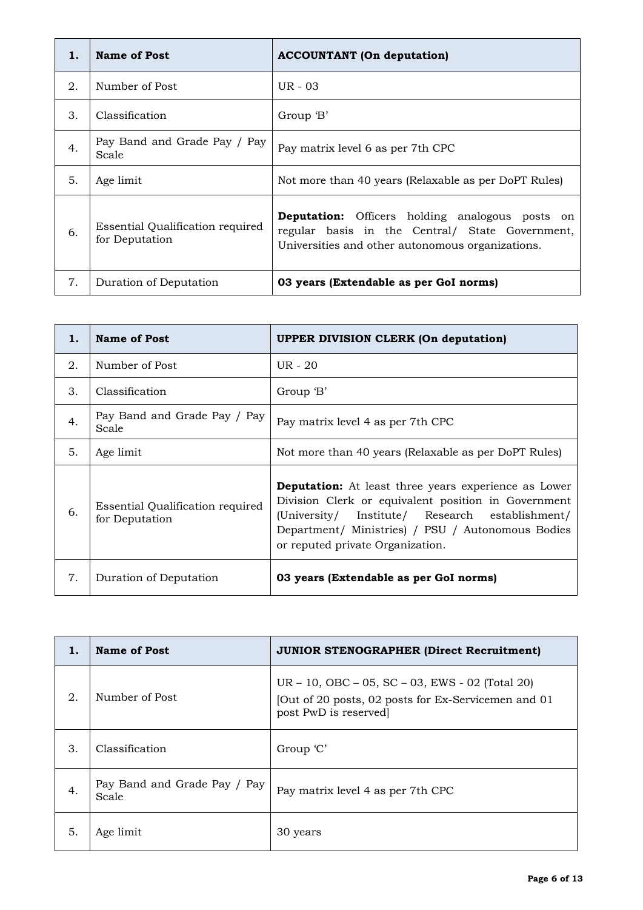| 1. | Name of Post                                       | <b>ACCOUNTANT</b> (On deputation)                                                                                                                             |
|----|----------------------------------------------------|---------------------------------------------------------------------------------------------------------------------------------------------------------------|
| 2. | Number of Post                                     | $UR - 03$                                                                                                                                                     |
| 3. | Classification                                     | Group 'B'                                                                                                                                                     |
| 4. | Pay Band and Grade Pay / Pay<br>Scale              | Pay matrix level 6 as per 7th CPC                                                                                                                             |
| 5. | Age limit                                          | Not more than 40 years (Relaxable as per DoPT Rules)                                                                                                          |
| 6. | Essential Qualification required<br>for Deputation | <b>Deputation:</b> Officers holding analogous posts on<br>regular basis in the Central/ State Government,<br>Universities and other autonomous organizations. |
| 7. | Duration of Deputation                             | 03 years (Extendable as per GoI norms)                                                                                                                        |

| 1. | <b>Name of Post</b>                                | <b>UPPER DIVISION CLERK (On deputation)</b>                                                                                                                                                                                                                    |
|----|----------------------------------------------------|----------------------------------------------------------------------------------------------------------------------------------------------------------------------------------------------------------------------------------------------------------------|
| 2. | Number of Post                                     | UR - 20                                                                                                                                                                                                                                                        |
| 3. | Classification                                     | Group 'B'                                                                                                                                                                                                                                                      |
| 4. | Pay Band and Grade Pay / Pay<br>Scale              | Pay matrix level 4 as per 7th CPC                                                                                                                                                                                                                              |
| 5. | Age limit                                          | Not more than 40 years (Relaxable as per DoPT Rules)                                                                                                                                                                                                           |
| 6. | Essential Qualification required<br>for Deputation | <b>Deputation:</b> At least three years experience as Lower<br>Division Clerk or equivalent position in Government<br>(University/ Institute/ Research establishment/<br>Department/ Ministries) / PSU / Autonomous Bodies<br>or reputed private Organization. |
| 7. | Duration of Deputation                             | 03 years (Extendable as per GoI norms)                                                                                                                                                                                                                         |

| 1. | <b>Name of Post</b>                   | <b>JUNIOR STENOGRAPHER (Direct Recruitment)</b>                                                                                |
|----|---------------------------------------|--------------------------------------------------------------------------------------------------------------------------------|
| 2. | Number of Post                        | UR – 10, OBC – 05, SC – 03, EWS - 02 (Total 20)<br>[Out of 20 posts, 02 posts for Ex-Servicemen and 01<br>post PwD is reserved |
| 3. | Classification                        | Group 'C'                                                                                                                      |
| 4. | Pay Band and Grade Pay / Pay<br>Scale | Pay matrix level 4 as per 7th CPC                                                                                              |
| 5. | Age limit                             | 30 years                                                                                                                       |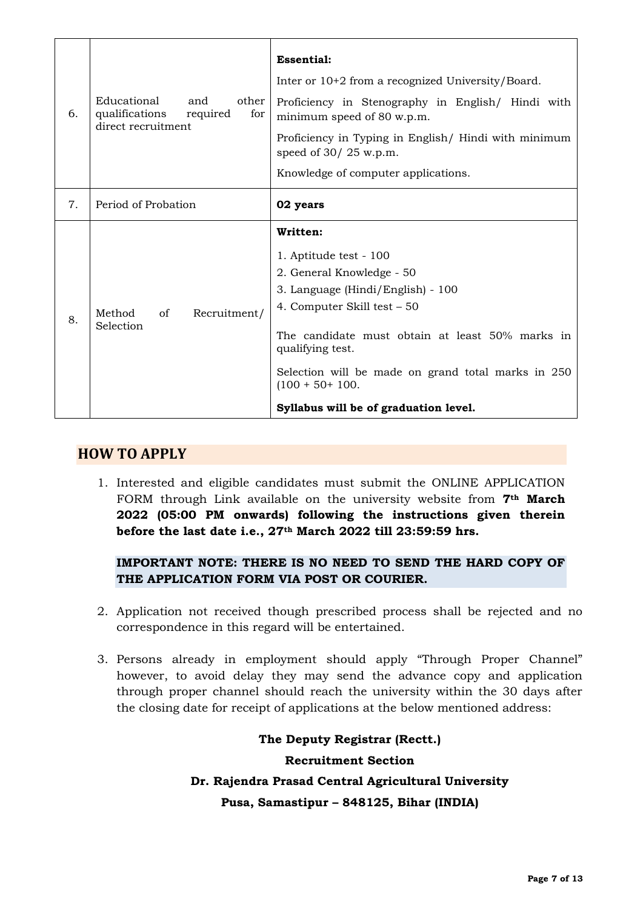| 6. | Educational<br>other<br>and<br>qualifications<br>for<br>required<br>direct recruitment | <b>Essential:</b><br>Inter or 10+2 from a recognized University/Board.<br>Proficiency in Stenography in English/ Hindi with<br>minimum speed of 80 w.p.m.<br>Proficiency in Typing in English/ Hindi with minimum<br>speed of $30/25$ w.p.m.<br>Knowledge of computer applications.                                             |
|----|----------------------------------------------------------------------------------------|---------------------------------------------------------------------------------------------------------------------------------------------------------------------------------------------------------------------------------------------------------------------------------------------------------------------------------|
| 7. | Period of Probation                                                                    | 02 years                                                                                                                                                                                                                                                                                                                        |
| 8. | Recruitment/<br>Method<br>of<br>Selection                                              | Written:<br>1. Aptitude test - 100<br>2. General Knowledge - 50<br>3. Language (Hindi/English) - 100<br>4. Computer Skill test - 50<br>The candidate must obtain at least 50% marks in<br>qualifying test.<br>Selection will be made on grand total marks in 250<br>$(100 + 50 + 100.$<br>Syllabus will be of graduation level. |

# **HOW TO APPLY**

1. Interested and eligible candidates must submit the ONLINE APPLICATION FORM through Link available on the university website from **7th March 2022 (05:00 PM onwards) following the instructions given therein before the last date i.e., 27th March 2022 till 23:59:59 hrs.**

## **IMPORTANT NOTE: THERE IS NO NEED TO SEND THE HARD COPY OF THE APPLICATION FORM VIA POST OR COURIER.**

- 2. Application not received though prescribed process shall be rejected and no correspondence in this regard will be entertained.
- 3. Persons already in employment should apply "Through Proper Channel" however, to avoid delay they may send the advance copy and application through proper channel should reach the university within the 30 days after the closing date for receipt of applications at the below mentioned address:

**The Deputy Registrar (Rectt.) Recruitment Section Dr. Rajendra Prasad Central Agricultural University Pusa, Samastipur – 848125, Bihar (INDIA)**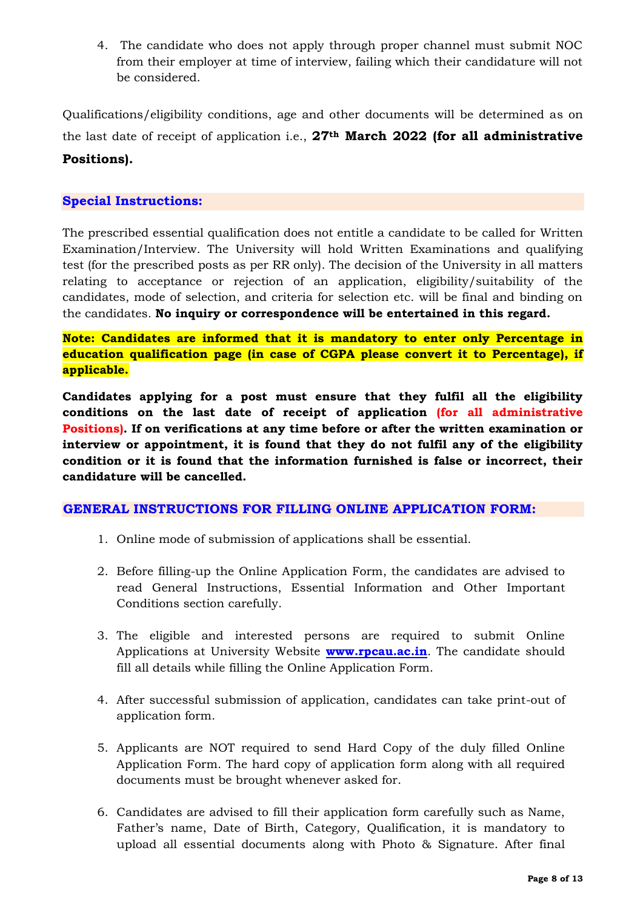4. The candidate who does not apply through proper channel must submit NOC from their employer at time of interview, failing which their candidature will not be considered.

Qualifications/eligibility conditions, age and other documents will be determined as on the last date of receipt of application i.e., **27th March 2022 (for all administrative Positions).**

### **Special Instructions:**

The prescribed essential qualification does not entitle a candidate to be called for Written Examination/Interview. The University will hold Written Examinations and qualifying test (for the prescribed posts as per RR only). The decision of the University in all matters relating to acceptance or rejection of an application, eligibility/suitability of the candidates, mode of selection, and criteria for selection etc. will be final and binding on the candidates. **No inquiry or correspondence will be entertained in this regard.** 

**Note: Candidates are informed that it is mandatory to enter only Percentage in education qualification page (in case of CGPA please convert it to Percentage), if applicable.**

**Candidates applying for a post must ensure that they fulfil all the eligibility conditions on the last date of receipt of application (for all administrative Positions). If on verifications at any time before or after the written examination or interview or appointment, it is found that they do not fulfil any of the eligibility condition or it is found that the information furnished is false or incorrect, their candidature will be cancelled.**

### **GENERAL INSTRUCTIONS FOR FILLING ONLINE APPLICATION FORM:**

- 1. Online mode of submission of applications shall be essential.
- 2. Before filling-up the Online Application Form, the candidates are advised to read General Instructions, Essential Information and Other Important Conditions section carefully.
- 3. The eligible and interested persons are required to submit Online Applications at University Website **[www.rpcau.ac.in](http://www.rpcau.ac.in/)**. The candidate should fill all details while filling the Online Application Form.
- 4. After successful submission of application, candidates can take print-out of application form.
- 5. Applicants are NOT required to send Hard Copy of the duly filled Online Application Form. The hard copy of application form along with all required documents must be brought whenever asked for.
- 6. Candidates are advised to fill their application form carefully such as Name, Father's name, Date of Birth, Category, Qualification, it is mandatory to upload all essential documents along with Photo & Signature. After final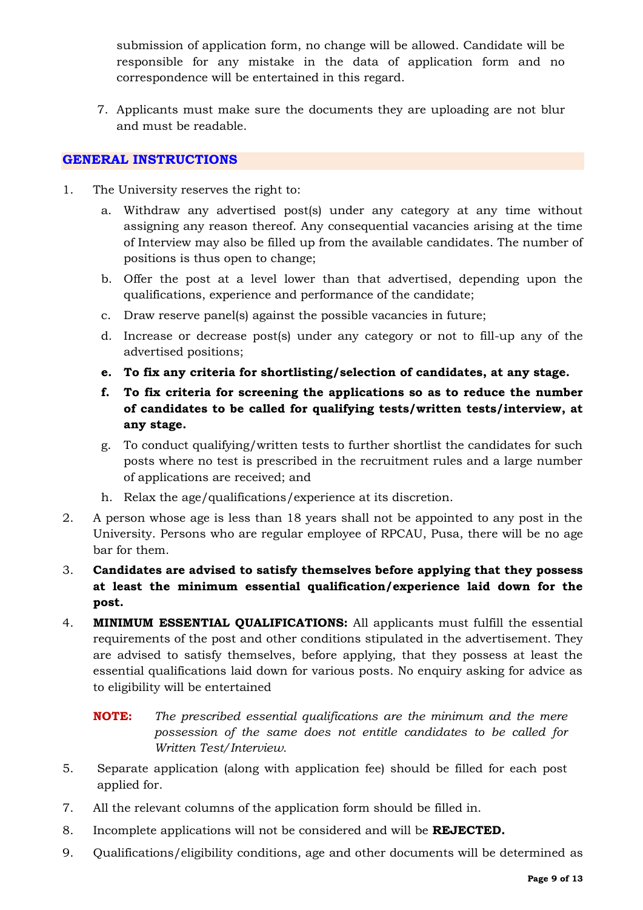submission of application form, no change will be allowed. Candidate will be responsible for any mistake in the data of application form and no correspondence will be entertained in this regard.

7. Applicants must make sure the documents they are uploading are not blur and must be readable.

### **GENERAL INSTRUCTIONS**

- 1. The University reserves the right to:
	- a. Withdraw any advertised post(s) under any category at any time without assigning any reason thereof. Any consequential vacancies arising at the time of Interview may also be filled up from the available candidates. The number of positions is thus open to change;
	- b. Offer the post at a level lower than that advertised, depending upon the qualifications, experience and performance of the candidate;
	- c. Draw reserve panel(s) against the possible vacancies in future;
	- d. Increase or decrease post(s) under any category or not to fill-up any of the advertised positions;
	- **e. To fix any criteria for shortlisting/selection of candidates, at any stage.**
	- **f. To fix criteria for screening the applications so as to reduce the number of candidates to be called for qualifying tests/written tests/interview, at any stage.**
	- g. To conduct qualifying/written tests to further shortlist the candidates for such posts where no test is prescribed in the recruitment rules and a large number of applications are received; and
	- h. Relax the age/qualifications/experience at its discretion.
- 2. A person whose age is less than 18 years shall not be appointed to any post in the University. Persons who are regular employee of RPCAU, Pusa, there will be no age bar for them.
- 3. **Candidates are advised to satisfy themselves before applying that they possess at least the minimum essential qualification/experience laid down for the post.**
- 4. **MINIMUM ESSENTIAL QUALIFICATIONS:** All applicants must fulfill the essential requirements of the post and other conditions stipulated in the advertisement. They are advised to satisfy themselves, before applying, that they possess at least the essential qualifications laid down for various posts. No enquiry asking for advice as to eligibility will be entertained

**NOTE:** *The prescribed essential qualifications are the minimum and the mere possession of the same does not entitle candidates to be called for Written Test/Interview.*

- 5. Separate application (along with application fee) should be filled for each post applied for.
- 7. All the relevant columns of the application form should be filled in.
- 8. Incomplete applications will not be considered and will be **REJECTED.**
- 9. Qualifications/eligibility conditions, age and other documents will be determined as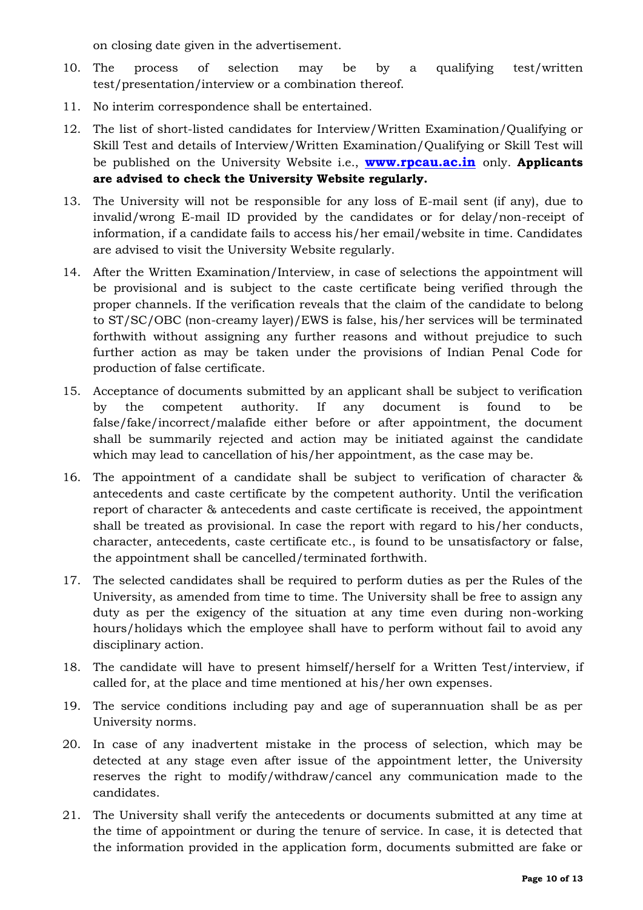on closing date given in the advertisement.

- 10. The process of selection may be by a qualifying test/written test/presentation/interview or a combination thereof.
- 11. No interim correspondence shall be entertained.
- 12. The list of short-listed candidates for Interview/Written Examination/Qualifying or Skill Test and details of Interview/Written Examination/Qualifying or Skill Test will be published on the University Website i.e., **www.rpcau.ac.in** only. **Applicants are advised to check the University Website regularly.**
- 13. The University will not be responsible for any loss of E-mail sent (if any), due to invalid/wrong E-mail ID provided by the candidates or for delay/non-receipt of information, if a candidate fails to access his/her email/website in time. Candidates are advised to visit the University Website regularly.
- 14. After the Written Examination/Interview, in case of selections the appointment will be provisional and is subject to the caste certificate being verified through the proper channels. If the verification reveals that the claim of the candidate to belong to ST/SC/OBC (non-creamy layer)/EWS is false, his/her services will be terminated forthwith without assigning any further reasons and without prejudice to such further action as may be taken under the provisions of Indian Penal Code for production of false certificate.
- 15. Acceptance of documents submitted by an applicant shall be subject to verification by the competent authority. If any document is found to be false/fake/incorrect/malafide either before or after appointment, the document shall be summarily rejected and action may be initiated against the candidate which may lead to cancellation of his/her appointment, as the case may be.
- 16. The appointment of a candidate shall be subject to verification of character & antecedents and caste certificate by the competent authority. Until the verification report of character & antecedents and caste certificate is received, the appointment shall be treated as provisional. In case the report with regard to his/her conducts, character, antecedents, caste certificate etc., is found to be unsatisfactory or false, the appointment shall be cancelled/terminated forthwith.
- 17. The selected candidates shall be required to perform duties as per the Rules of the University, as amended from time to time. The University shall be free to assign any duty as per the exigency of the situation at any time even during non-working hours/holidays which the employee shall have to perform without fail to avoid any disciplinary action.
- 18. The candidate will have to present himself/herself for a Written Test/interview, if called for, at the place and time mentioned at his/her own expenses.
- 19. The service conditions including pay and age of superannuation shall be as per University norms.
- 20. In case of any inadvertent mistake in the process of selection, which may be detected at any stage even after issue of the appointment letter, the University reserves the right to modify/withdraw/cancel any communication made to the candidates.
- 21. The University shall verify the antecedents or documents submitted at any time at the time of appointment or during the tenure of service. In case, it is detected that the information provided in the application form, documents submitted are fake or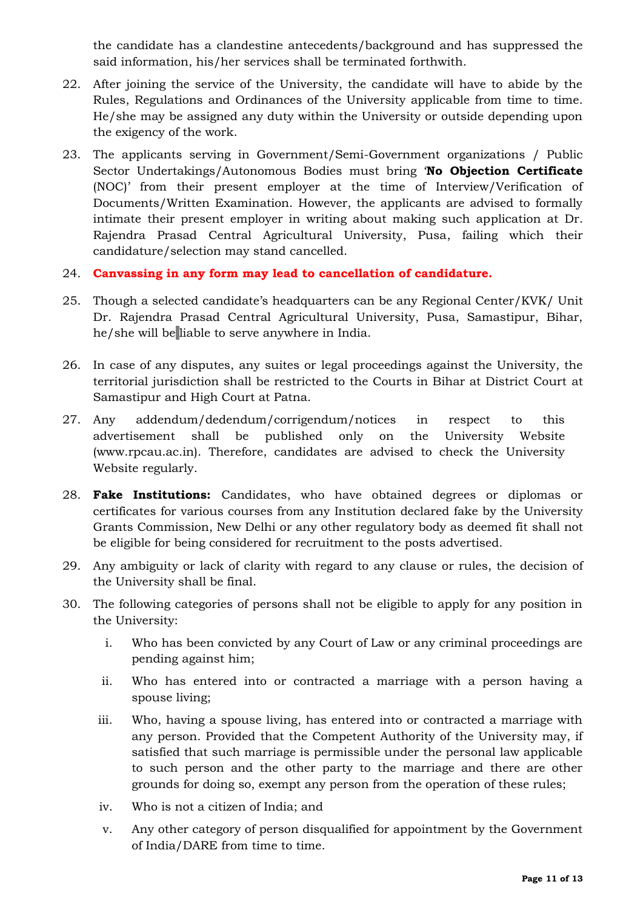the candidate has a clandestine antecedents/background and has suppressed the said information, his/her services shall be terminated forthwith.

- 22. After joining the service of the University, the candidate will have to abide by the Rules, Regulations and Ordinances of the University applicable from time to time. He/she may be assigned any duty within the University or outside depending upon the exigency of the work.
- 23. The applicants serving in Government/Semi-Government organizations / Public Sector Undertakings/Autonomous Bodies must bring '**No Objection Certificate** (NOC)' from their present employer at the time of Interview/Verification of Documents/Written Examination. However, the applicants are advised to formally intimate their present employer in writing about making such application at Dr. Rajendra Prasad Central Agricultural University, Pusa, failing which their candidature/selection may stand cancelled.
- 24. **Canvassing in any form may lead to cancellation of candidature.**
- 25. Though a selected candidate's headquarters can be any Regional Center/KVK/ Unit Dr. Rajendra Prasad Central Agricultural University, Pusa, Samastipur, Bihar, he/she will be liable to serve anywhere in India.
- 26. In case of any disputes, any suites or legal proceedings against the University, the territorial jurisdiction shall be restricted to the Courts in Bihar at District Court at Samastipur and High Court at Patna.
- 27. Any addendum/dedendum/corrigendum/notices in respect to this advertisement shall be published only on the University Website (www.rpcau.ac.in). Therefore, candidates are advised to check the University Website regularly.
- 28. **Fake Institutions:** Candidates, who have obtained degrees or diplomas or certificates for various courses from any Institution declared fake by the University Grants Commission, New Delhi or any other regulatory body as deemed fit shall not be eligible for being considered for recruitment to the posts advertised.
- 29. Any ambiguity or lack of clarity with regard to any clause or rules, the decision of the University shall be final.
- 30. The following categories of persons shall not be eligible to apply for any position in the University:
	- i. Who has been convicted by any Court of Law or any criminal proceedings are pending against him;
	- ii. Who has entered into or contracted a marriage with a person having a spouse living;
	- iii. Who, having a spouse living, has entered into or contracted a marriage with any person. Provided that the Competent Authority of the University may, if satisfied that such marriage is permissible under the personal law applicable to such person and the other party to the marriage and there are other grounds for doing so, exempt any person from the operation of these rules;
	- iv. Who is not a citizen of India; and
	- v. Any other category of person disqualified for appointment by the Government of India/DARE from time to time.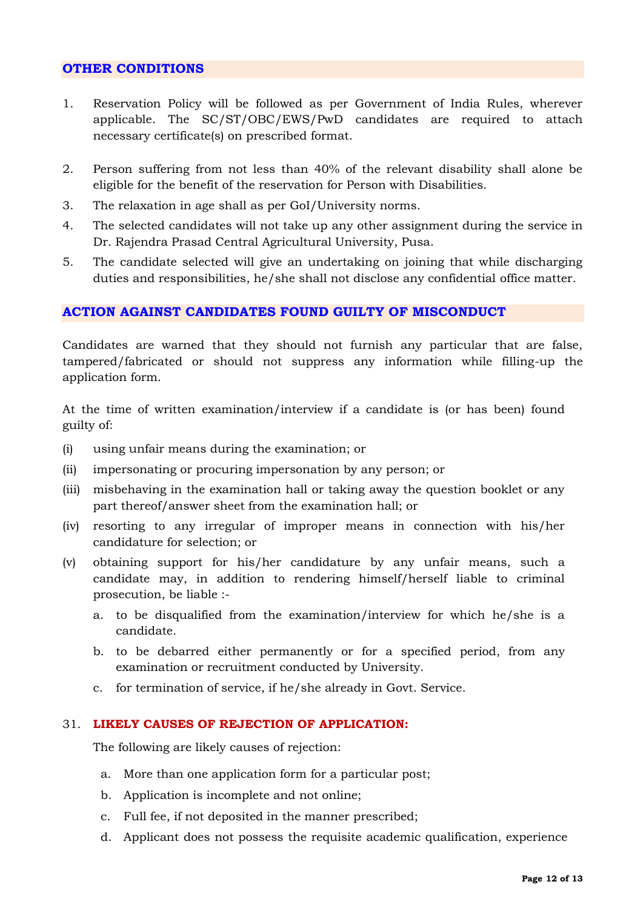#### **OTHER CONDITIONS**

- 1. Reservation Policy will be followed as per Government of India Rules, wherever applicable. The SC/ST/OBC/EWS/PwD candidates are required to attach necessary certificate(s) on prescribed format.
- 2. Person suffering from not less than 40% of the relevant disability shall alone be eligible for the benefit of the reservation for Person with Disabilities.
- 3. The relaxation in age shall as per GoI/University norms.
- 4. The selected candidates will not take up any other assignment during the service in Dr. Rajendra Prasad Central Agricultural University, Pusa.
- 5. The candidate selected will give an undertaking on joining that while discharging duties and responsibilities, he/she shall not disclose any confidential office matter.

#### **ACTION AGAINST CANDIDATES FOUND GUILTY OF MISCONDUCT**

Candidates are warned that they should not furnish any particular that are false, tampered/fabricated or should not suppress any information while filling-up the application form.

At the time of written examination/interview if a candidate is (or has been) found guilty of:

- (i) using unfair means during the examination; or
- (ii) impersonating or procuring impersonation by any person; or
- (iii) misbehaving in the examination hall or taking away the question booklet or any part thereof/answer sheet from the examination hall; or
- (iv) resorting to any irregular of improper means in connection with his/her candidature for selection; or
- (v) obtaining support for his/her candidature by any unfair means, such a candidate may, in addition to rendering himself/herself liable to criminal prosecution, be liable :
	- a. to be disqualified from the examination/interview for which he/she is a candidate.
	- b. to be debarred either permanently or for a specified period, from any examination or recruitment conducted by University.
	- c. for termination of service, if he/she already in Govt. Service.

#### 31. **LIKELY CAUSES OF REJECTION OF APPLICATION:**

The following are likely causes of rejection:

- a. More than one application form for a particular post;
- b. Application is incomplete and not online;
- c. Full fee, if not deposited in the manner prescribed;
- d. Applicant does not possess the requisite academic qualification, experience